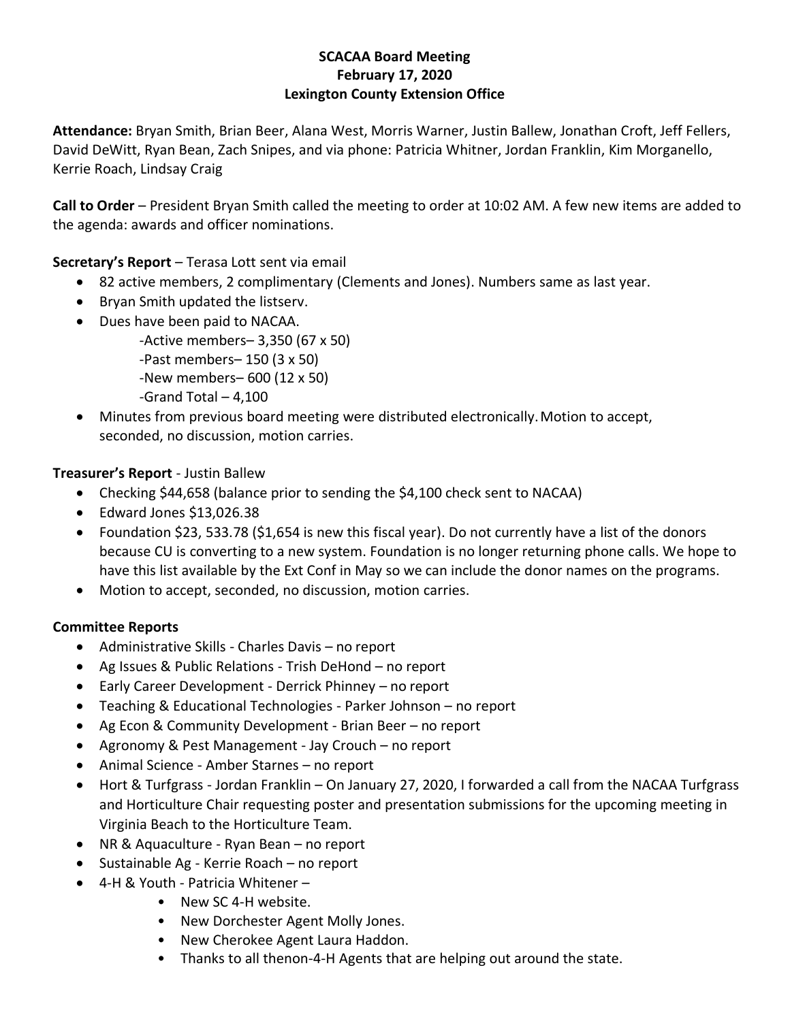### **SCACAA Board Meeting February 17, 2020 Lexington County Extension Office**

**Attendance:** Bryan Smith, Brian Beer, Alana West, Morris Warner, Justin Ballew, Jonathan Croft, Jeff Fellers, David DeWitt, Ryan Bean, Zach Snipes, and via phone: Patricia Whitner, Jordan Franklin, Kim Morganello, Kerrie Roach, Lindsay Craig

**Call to Order** – President Bryan Smith called the meeting to order at 10:02 AM. A few new items are added to the agenda: awards and officer nominations.

## **Secretary's Report** – Terasa Lott sent via email

- 82 active members, 2 complimentary (Clements and Jones). Numbers same as last year.
- Bryan Smith updated the listserv.
- Dues have been paid to NACAA.
	- -Active members– 3,350 (67 x 50)
	- -Past members– 150 (3 x 50)
	- -New members– 600 (12 x 50)
	- -Grand Total 4,100
- Minutes from previous board meeting were distributed electronically. Motion to accept, seconded, no discussion, motion carries.

# **Treasurer's Report** - Justin Ballew

- Checking \$44,658 (balance prior to sending the \$4,100 check sent to NACAA)
- Edward Jones \$13,026.38
- Foundation \$23, 533.78 (\$1,654 is new this fiscal year). Do not currently have a list of the donors because CU is converting to a new system. Foundation is no longer returning phone calls. We hope to have this list available by the Ext Conf in May so we can include the donor names on the programs.
- Motion to accept, seconded, no discussion, motion carries.

## **Committee Reports**

- Administrative Skills Charles Davis no report
- Ag Issues & Public Relations Trish DeHond no report
- Early Career Development Derrick Phinney no report
- Teaching & Educational Technologies Parker Johnson no report
- Ag Econ & Community Development Brian Beer no report
- Agronomy & Pest Management Jay Crouch no report
- Animal Science Amber Starnes no report
- Hort & Turfgrass Jordan Franklin On January 27, 2020, I forwarded a call from the NACAA Turfgrass and Horticulture Chair requesting poster and presentation submissions for the upcoming meeting in Virginia Beach to the Horticulture Team.
- NR & Aquaculture Ryan Bean no report
- Sustainable Ag Kerrie Roach no report
- 4-H & Youth Patricia Whitener
	- New SC 4-H website.
	- New Dorchester Agent Molly Jones.
	- New Cherokee Agent Laura Haddon.
	- Thanks to all thenon-4-H Agents that are helping out around the state.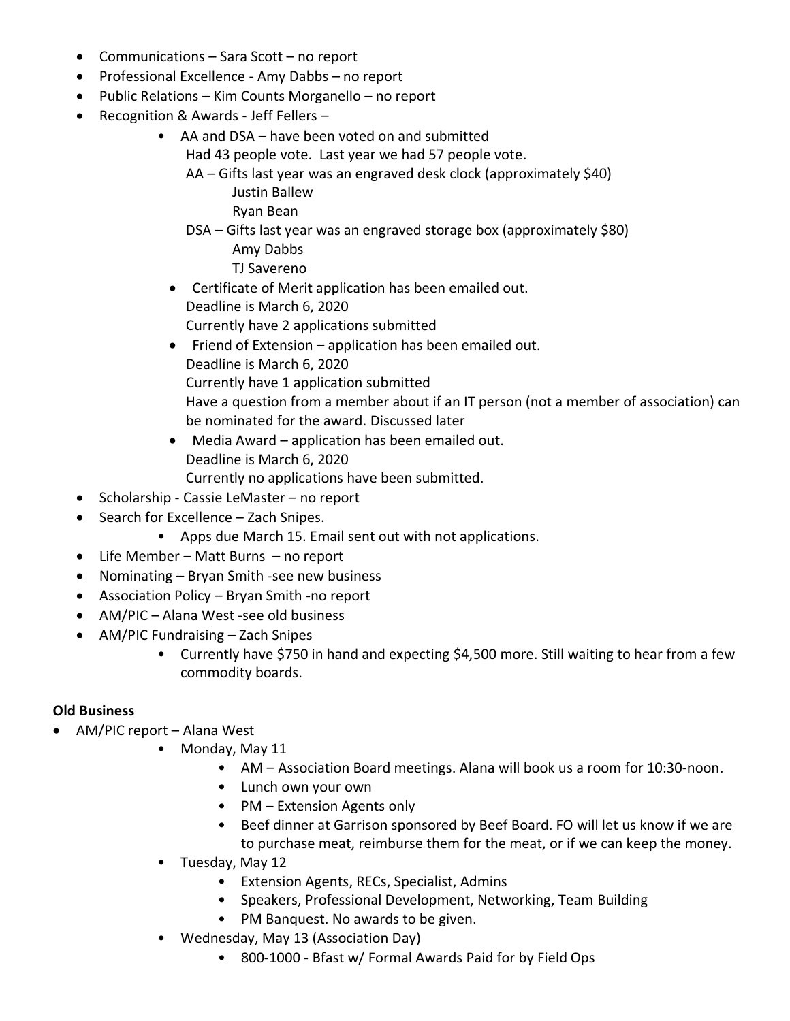- Communications Sara Scott no report
- Professional Excellence Amy Dabbs no report
- Public Relations Kim Counts Morganello no report
- Recognition & Awards Jeff Fellers
	- AA and DSA have been voted on and submitted Had 43 people vote. Last year we had 57 people vote.
		- AA Gifts last year was an engraved desk clock (approximately \$40) Justin Ballew

Ryan Bean

- DSA Gifts last year was an engraved storage box (approximately \$80) Amy Dabbs TJ Savereno
- Certificate of Merit application has been emailed out. Deadline is March 6, 2020 Currently have 2 applications submitted
- Friend of Extension application has been emailed out. Deadline is March 6, 2020 Currently have 1 application submitted Have a question from a member about if an IT person (not a member of association) can be nominated for the award. Discussed later
- Media Award application has been emailed out. Deadline is March 6, 2020 Currently no applications have been submitted.
- Scholarship Cassie LeMaster no report
- Search for Excellence Zach Snipes.
	- Apps due March 15. Email sent out with not applications.
- Life Member Matt Burns no report
- Nominating Bryan Smith -see new business
- Association Policy Bryan Smith -no report
- AM/PIC Alana West -see old business
- AM/PIC Fundraising Zach Snipes
	- Currently have \$750 in hand and expecting \$4,500 more. Still waiting to hear from a few commodity boards.

## **Old Business**

- AM/PIC report Alana West
	- Monday, May 11
		- AM Association Board meetings. Alana will book us a room for 10:30-noon.
		- Lunch own your own
		- PM Extension Agents only
		- Beef dinner at Garrison sponsored by Beef Board. FO will let us know if we are to purchase meat, reimburse them for the meat, or if we can keep the money.
	- Tuesday, May 12
		- Extension Agents, RECs, Specialist, Admins
		- Speakers, Professional Development, Networking, Team Building
		- PM Banquest. No awards to be given.
	- Wednesday, May 13 (Association Day)
		- 800-1000 Bfast w/ Formal Awards Paid for by Field Ops